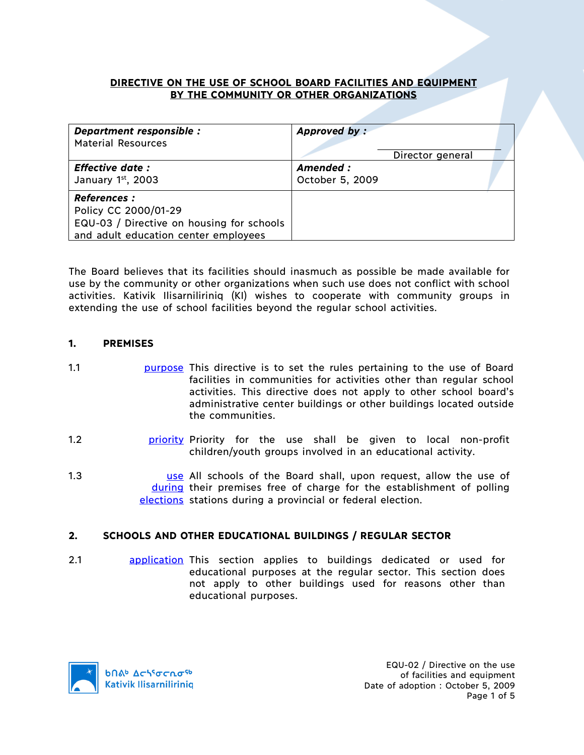## **DIRECTIVE ON THE USE OF SCHOOL BOARD FACILITIES AND EQUIPMENT BY THE COMMUNITY OR OTHER ORGANIZATIONS**

| Department responsible :<br><b>Material Resources</b>                                                                            | Approved by:                 | Director general |  |
|----------------------------------------------------------------------------------------------------------------------------------|------------------------------|------------------|--|
| <b>Effective date:</b><br>January $1st$ , 2003                                                                                   | Amended :<br>October 5, 2009 |                  |  |
| <b>References :</b><br>Policy CC 2000/01-29<br>EQU-03 / Directive on housing for schools<br>and adult education center employees |                              |                  |  |

The Board believes that its facilities should inasmuch as possible be made available for use by the community or other organizations when such use does not conflict with school activities. Kativik Ilisarniliriniq (KI) wishes to cooperate with community groups in extending the use of school facilities beyond the regular school activities.

# **1. PREMISES**

- 1.1 purpose This directive is to set the rules pertaining to the use of Board facilities in communities for activities other than regular school activities. This directive does not apply to other school board's administrative center buildings or other buildings located outside the communities.
- 1.2 **priority Priority for the use shall be given to local non-profit** children/youth groups involved in an educational activity.
- 1.3 **1.3 1.3** Use All schools of the Board shall, upon request, allow the use of during their premises free of charge for the establishment of polling elections stations during a provincial or federal election.

# **2. SCHOOLS AND OTHER EDUCATIONAL BUILDINGS / REGULAR SECTOR**

2.1 application This section applies to buildings dedicated or used for educational purposes at the regular sector. This section does not apply to other buildings used for reasons other than educational purposes.

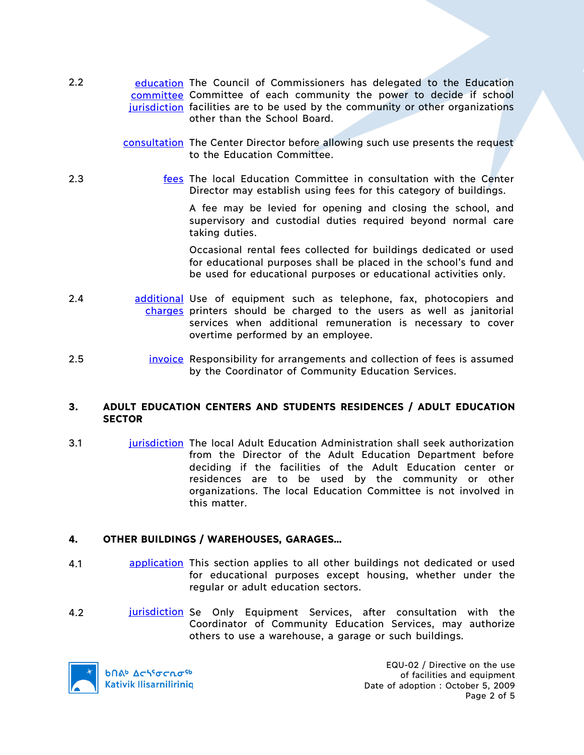- 2.2 education The Council of Commissioners has delegated to the Education committee Committee of each community the power to decide if school jurisdiction facilities are to be used by the community or other organizations other than the School Board.
	- consultation The Center Director before allowing such use presents the request to the Education Committee.
- 2.3 fees The local Education Committee in consultation with the Center Director may establish using fees for this category of buildings.

A fee may be levied for opening and closing the school, and supervisory and custodial duties required beyond normal care taking duties.

Occasional rental fees collected for buildings dedicated or used for educational purposes shall be placed in the school's fund and be used for educational purposes or educational activities only.

- 2.4 **and additional Use of equipment such as telephone, fax, photocopiers and** charges printers should be charged to the users as well as janitorial services when additional remuneration is necessary to cover overtime performed by an employee.
- 2.5 invoice Responsibility for arrangements and collection of fees is assumed by the Coordinator of Community Education Services.

### **3. ADULT EDUCATION CENTERS AND STUDENTS RESIDENCES / ADULT EDUCATION SECTOR**

3.1 jurisdiction The local Adult Education Administration shall seek authorization from the Director of the Adult Education Department before deciding if the facilities of the Adult Education center or residences are to be used by the community or other organizations. The local Education Committee is not involved in this matter.

# **4. OTHER BUILDINGS / WAREHOUSES, GARAGES…**

- 4.1 application This section applies to all other buildings not dedicated or used for educational purposes except housing, whether under the regular or adult education sectors.
- 4.2 **jurisdiction** Se Only Equipment Services, after consultation with the Coordinator of Community Education Services, may authorize others to use a warehouse, a garage or such buildings.



**b**በል<sup>b</sup> Δς<sup>56</sup>σς λσ<sup>ς6</sup> **Kativik Ilisarniliriniq** 

EQU-02 / Directive on the use of facilities and equipment Date of adoption : October 5, 2009 Page 2 of 5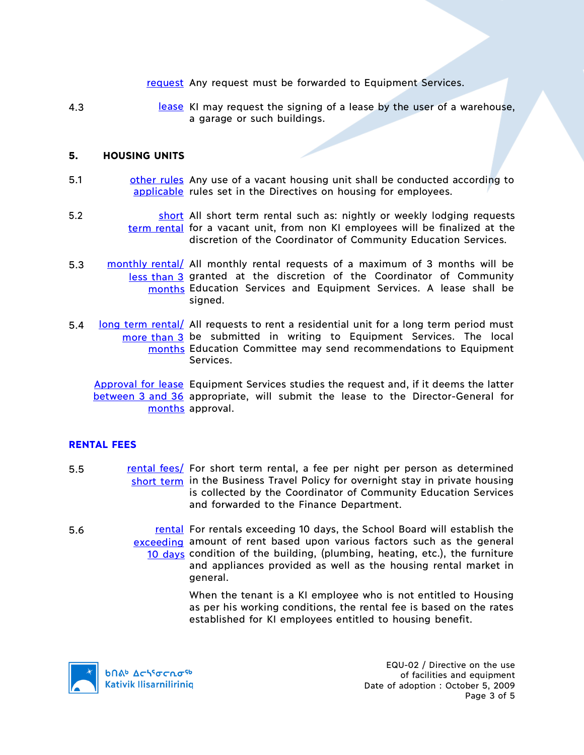- request Any request must be forwarded to Equipment Services.
- 4.3 **I** lease KI may request the signing of a lease by the user of a warehouse, a garage or such buildings.

#### **5. HOUSING UNITS**

- 5.1 other rules Any use of a vacant housing unit shall be conducted according to applicable rules set in the Directives on housing for employees.
- 5.2 **short All short term rental such as: nightly or weekly lodging requests** term rental for a vacant unit, from non KI employees will be finalized at the discretion of the Coordinator of Community Education Services.
- 5.3 monthly rental/ All monthly rental requests of a maximum of 3 months will be less than 3 granted at the discretion of the Coordinator of Community months Education Services and Equipment Services. A lease shall be signed.
- 5.4 long term rental/ All requests to rent a residential unit for a long term period must more than 3 be submitted in writing to Equipment Services. The local months Education Committee may send recommendations to Equipment Services.

Approval for lease Equipment Services studies the request and, if it deems the latter between 3 and 36 appropriate, will submit the lease to the Director-General for months approval.

### **RENTAL FEES**

- 5.5 rental fees/ For short term rental, a fee per night per person as determined short term in the Business Travel Policy for overnight stay in private housing is collected by the Coordinator of Community Education Services and forwarded to the Finance Department.
- 5.6 **rental For rentals exceeding 10 days, the School Board will establish the** exceeding amount of rent based upon various factors such as the general 10 days condition of the building, (plumbing, heating, etc.), the furniture and appliances provided as well as the housing rental market in general.

When the tenant is a KI employee who is not entitled to Housing as per his working conditions, the rental fee is based on the rates established for KI employees entitled to housing benefit.



EQU-02 / Directive on the use of facilities and equipment Date of adoption : October 5, 2009 Page 3 of 5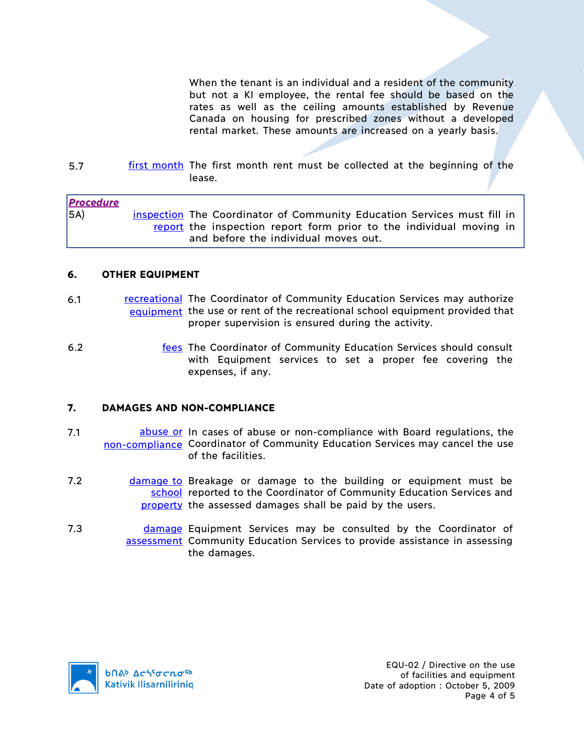When the tenant is an individual and a resident of the community but not a KI employee, the rental fee should be based on the rates as well as the ceiling amounts established by Revenue Canada on housing for prescribed zones without a developed rental market. These amounts are increased on a yearly basis.

5.7 first month The first month rent must be collected at the beginning of the lease.

| <b>Procedure</b> |                                                                         |  |
|------------------|-------------------------------------------------------------------------|--|
| 5A)              | inspection The Coordinator of Community Education Services must fill in |  |
|                  | report the inspection report form prior to the individual moving in     |  |
|                  | and before the individual moves out.                                    |  |

### **6. OTHER EQUIPMENT**

- 6.1 **recreational** The Coordinator of Community Education Services may authorize equipment the use or rent of the recreational school equipment provided that proper supervision is ensured during the activity.
- 6.2 fees The Coordinator of Community Education Services should consult with Equipment services to set a proper fee covering the expenses, if any.

### **7. DAMAGES AND NON-COMPLIANCE**

- 7.1 **abuse or In cases of abuse or non-compliance with Board regulations, the** non-compliance Coordinator of Community Education Services may cancel the use of the facilities.
- 7.2 **damage to Breakage or damage to the building or equipment must be** school reported to the Coordinator of Community Education Services and property the assessed damages shall be paid by the users.
- 7.3 **damage Equipment Services may be consulted by the Coordinator of** assessment Community Education Services to provide assistance in assessing the damages.